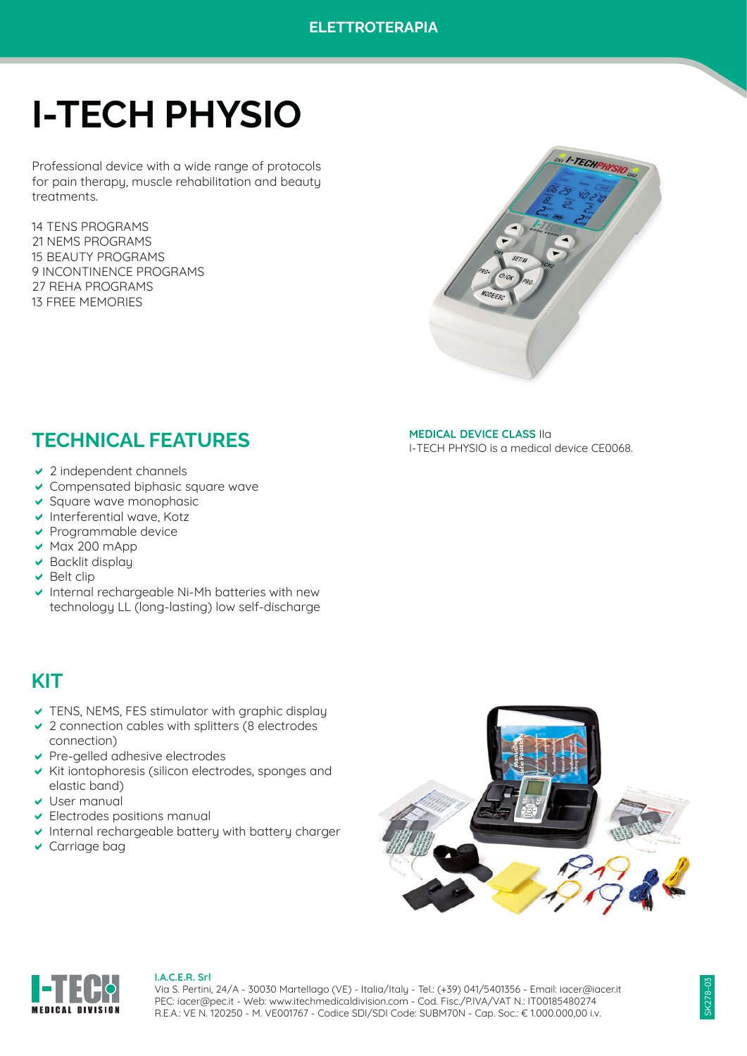# **I-TECH PHYSIO**

Professional device with a wide range of protocols for pain therapy, muscle rehabilitation and beauty treatments.

14 TENS PROGRAMS 21 NEMS PROGRAMS 15 BEAUTY PROGRAMS 9 INCONTINENCE PROGRAMS 27 REHA PROGRAMS 13 FREE MEMORIES



**MEDICAL DEVICE CLASS** IIa

I-TECH PHYSIO is a medical device CE0068.

# **TECHNICAL FEATURES**

- $\vee$  2 independent channels
- $\vee$  Compensated biphasic square wave
- $\vee$  Square wave monophasic
- $\vee$  Interferential wave, Kotz
- $\vee$  Programmable device
- $\vee$  Max 200 mApp
- $\vee$  Backlit display
- $\vee$  Belt clip
- $\vee$  Internal rechargeable Ni-Mh batteries with new technology LL (long-lasting) low self-discharge

# **KIT**

- $\triangledown$  TENS, NEMS, FES stimulator with graphic display
- $\vee$  2 connection cables with splitters (8 electrodes connection)
- $\vee$  Pre-gelled adhesive electrodes
- $\vee$  Kit iontophoresis (silicon electrodes, sponges and elastic band)
- $\vee$  User manual
- $\overline{\smash{\triangleright}}$  Electrodes positions manual
- $\vee$  Internal rechargeable battery with battery charger
- $\vee$  Carriage bag





#### **I.A.C.E.R. Srl**

Via S. Pertini, 24/A - 30030 Martellago (VE) - Italia/Italy - Tel.: (+39) 041/5401356 - Email: iacer@iacer.it PEC: iacer@pec.it - Web: www.itechmedicaldivision.com - Cod. Fisc./P.IVA/VAT N.: IT00185480274 R.E.A.: VE N. 120250 - M. VE001767 - Codice SDI/SDI Code: SUBM70N - Cap. Soc.: € 1.000.000,00 i.v.